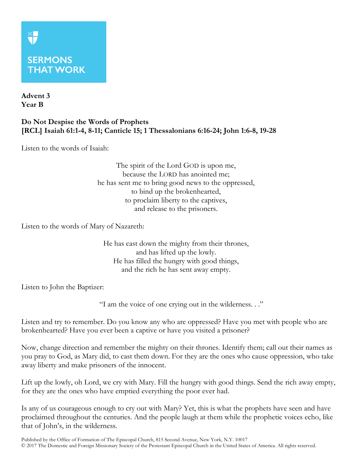## **SERMONS THAT WORK**

**Advent 3 Year B**

**XF** 

## **Do Not Despise the Words of Prophets [RCL] Isaiah 61:1-4, 8-11; Canticle 15; 1 Thessalonians 6:16-24; John 1:6-8, 19-28**

Listen to the words of Isaiah:

The spirit of the Lord GOD is upon me, because the LORD has anointed me; he has sent me to bring good news to the oppressed, to bind up the brokenhearted, to proclaim liberty to the captives, and release to the prisoners.

Listen to the words of Mary of Nazareth:

He has cast down the mighty from their thrones, and has lifted up the lowly. He has filled the hungry with good things, and the rich he has sent away empty.

Listen to John the Baptizer:

"I am the voice of one crying out in the wilderness. . ."

Listen and try to remember. Do you know any who are oppressed? Have you met with people who are brokenhearted? Have you ever been a captive or have you visited a prisoner?

Now, change direction and remember the mighty on their thrones. Identify them; call out their names as you pray to God, as Mary did, to cast them down. For they are the ones who cause oppression, who take away liberty and make prisoners of the innocent.

Lift up the lowly, oh Lord, we cry with Mary. Fill the hungry with good things. Send the rich away empty, for they are the ones who have emptied everything the poor ever had.

Is any of us courageous enough to cry out with Mary? Yet, this is what the prophets have seen and have proclaimed throughout the centuries. And the people laugh at them while the prophetic voices echo, like that of John's, in the wilderness.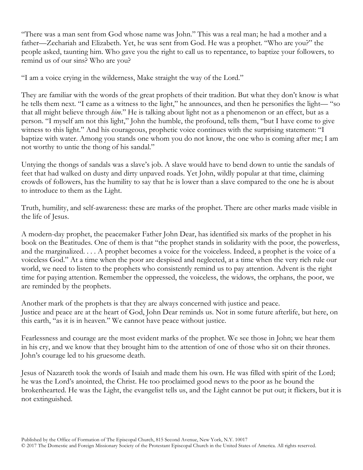"There was a man sent from God whose name was John." This was a real man; he had a mother and a father—Zechariah and Elizabeth. Yet, he was sent from God. He was a prophet. "Who are you?" the people asked, taunting him. Who gave you the right to call us to repentance, to baptize your followers, to remind us of our sins? Who are you?

"I am a voice crying in the wilderness, Make straight the way of the Lord."

They are familiar with the words of the great prophets of their tradition. But what they don't know is what he tells them next. "I came as a witness to the light," he announces, and then he personifies the light— "so that all might believe through *him*." He is talking about light not as a phenomenon or an effect, but as a person. "I myself am not this light," John the humble, the profound, tells them, "but I have come to give witness to this light." And his courageous, prophetic voice continues with the surprising statement: "I baptize with water. Among you stands one whom you do not know, the one who is coming after me; I am not worthy to untie the thong of his sandal."

Untying the thongs of sandals was a slave's job. A slave would have to bend down to untie the sandals of feet that had walked on dusty and dirty unpaved roads. Yet John, wildly popular at that time, claiming crowds of followers, has the humility to say that he is lower than a slave compared to the one he is about to introduce to them as the Light.

Truth, humility, and self-awareness: these are marks of the prophet. There are other marks made visible in the life of Jesus.

A modern-day prophet, the peacemaker Father John Dear, has identified six marks of the prophet in his book on the Beatitudes. One of them is that "the prophet stands in solidarity with the poor, the powerless, and the marginalized. . . . A prophet becomes a voice for the voiceless. Indeed, a prophet is the voice of a voiceless God." At a time when the poor are despised and neglected, at a time when the very rich rule our world, we need to listen to the prophets who consistently remind us to pay attention. Advent is the right time for paying attention. Remember the oppressed, the voiceless, the widows, the orphans, the poor, we are reminded by the prophets.

Another mark of the prophets is that they are always concerned with justice and peace. Justice and peace are at the heart of God, John Dear reminds us. Not in some future afterlife, but here, on this earth, "as it is in heaven." We cannot have peace without justice.

Fearlessness and courage are the most evident marks of the prophet. We see those in John; we hear them in his cry, and we know that they brought him to the attention of one of those who sit on their thrones. John's courage led to his gruesome death.

Jesus of Nazareth took the words of Isaiah and made them his own. He was filled with spirit of the Lord; he was the Lord's anointed, the Christ. He too proclaimed good news to the poor as he bound the brokenhearted. He was the Light, the evangelist tells us, and the Light cannot be put out; it flickers, but it is not extinguished.